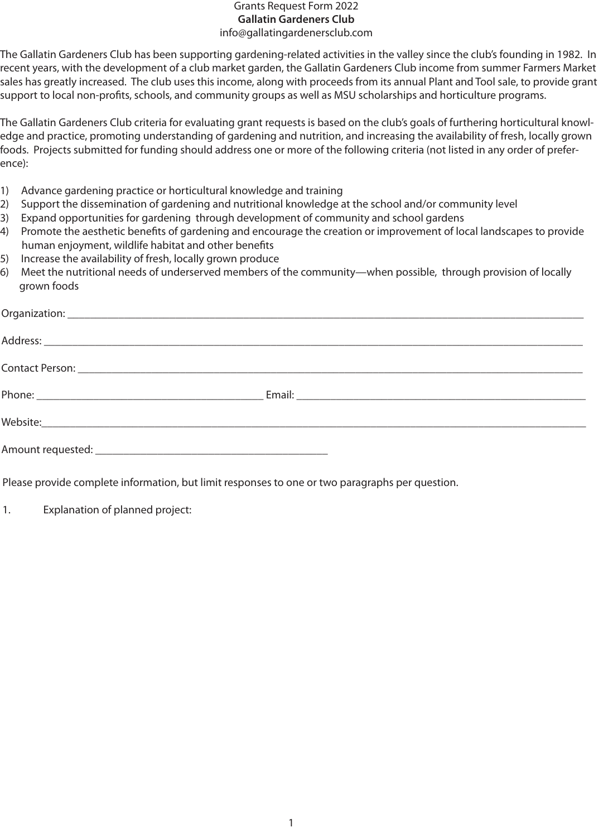## Grants Request Form 2022 **Gallatin Gardeners Club** info@gallatingardenersclub.com

The Gallatin Gardeners Club has been supporting gardening-related activities in the valley since the club's founding in 1982. In recent years, with the development of a club market garden, the Gallatin Gardeners Club income from summer Farmers Market sales has greatly increased. The club uses this income, along with proceeds from its annual Plant and Tool sale, to provide grant support to local non-profits, schools, and community groups as well as MSU scholarships and horticulture programs.

The Gallatin Gardeners Club criteria for evaluating grant requests is based on the club's goals of furthering horticultural knowledge and practice, promoting understanding of gardening and nutrition, and increasing the availability of fresh, locally grown foods. Projects submitted for funding should address one or more of the following criteria (not listed in any order of preference):

- 1) Advance gardening practice or horticultural knowledge and training
- 2) Support the dissemination of gardening and nutritional knowledge at the school and/or community level
- 3) Expand opportunities for gardening through development of community and school gardens
- 4) Promote the aesthetic benefits of gardening and encourage the creation or improvement of local landscapes to provide human enjoyment, wildlife habitat and other benefits
- 5) Increase the availability of fresh, locally grown produce
- 6) Meet the nutritional needs of underserved members of the community—when possible, through provision of locally grown foods

| Website: which is a series of the series of the series of the series of the series of the series of the series |  |
|----------------------------------------------------------------------------------------------------------------|--|
|                                                                                                                |  |

Please provide complete information, but limit responses to one or two paragraphs per question.

1. Explanation of planned project: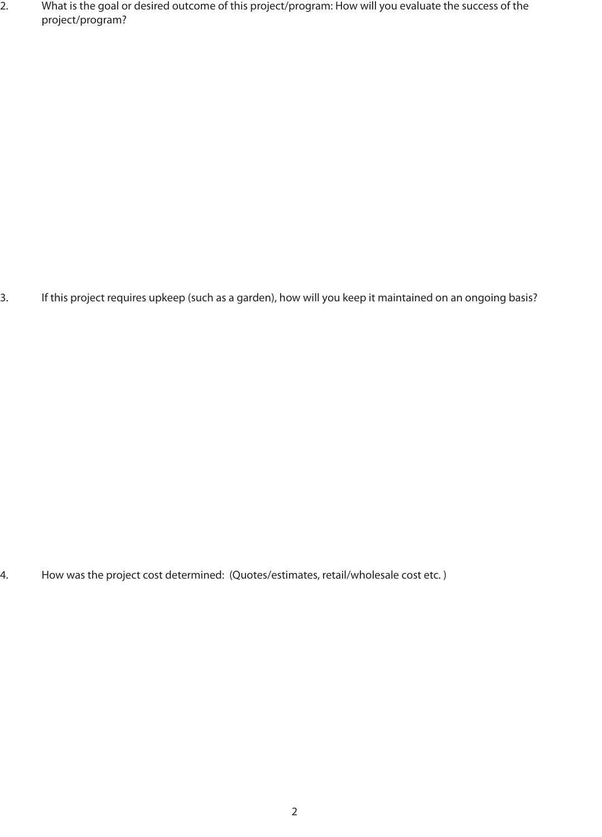2. What is the goal or desired outcome of this project/program: How will you evaluate the success of the project/program?

3. If this project requires upkeep (such as a garden), how will you keep it maintained on an ongoing basis?

4. How was the project cost determined: (Quotes/estimates, retail/wholesale cost etc. )